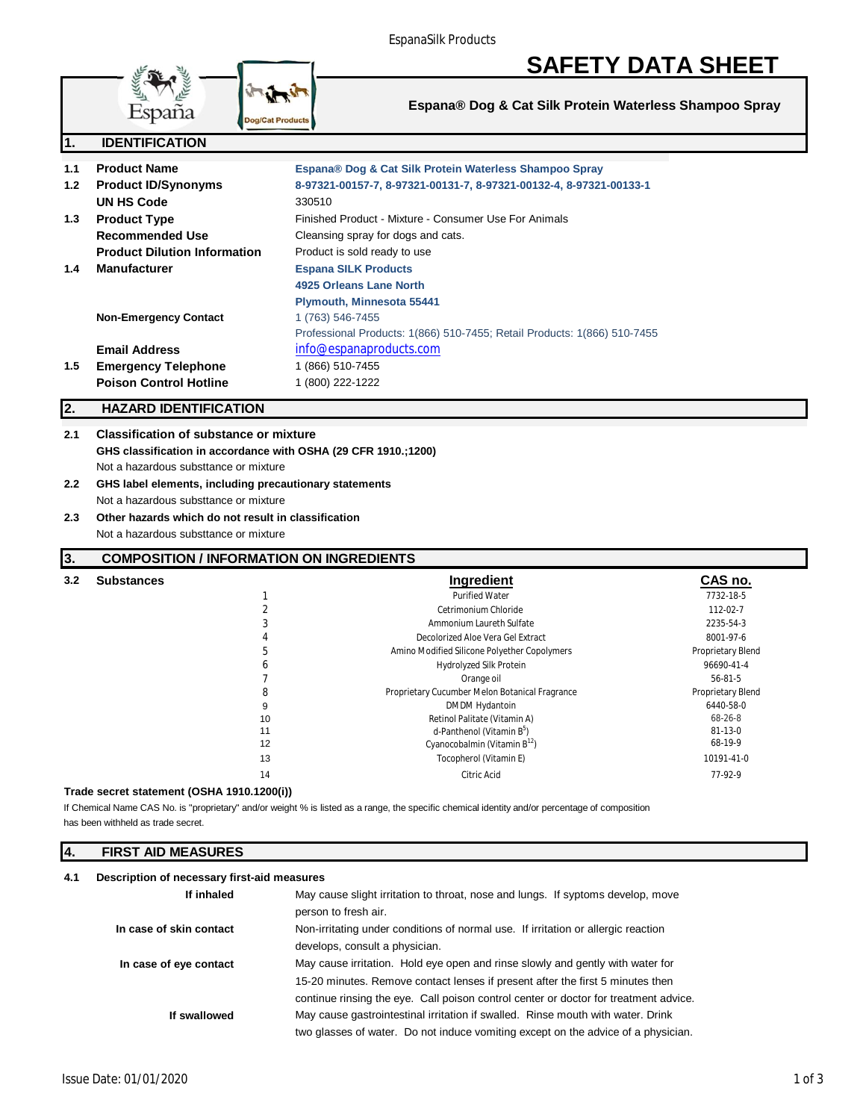# **SAFETY DATA SHEET**



# **Espana® Dog & Cat Silk Protein Waterless Shampoo Spray**

| 1.1 | <b>Product Name</b>                 | Espana® Dog & Cat Silk Protein Waterless Shampoo Spray                   |
|-----|-------------------------------------|--------------------------------------------------------------------------|
| 1.2 | <b>Product ID/Synonyms</b>          | 8-97321-00157-7, 8-97321-00131-7, 8-97321-00132-4, 8-97321-00133-1       |
|     | <b>UN HS Code</b>                   | 330510                                                                   |
| 1.3 | <b>Product Type</b>                 | Finished Product - Mixture - Consumer Use For Animals                    |
|     | Recommended Use                     | Cleansing spray for dogs and cats.                                       |
|     | <b>Product Dilution Information</b> | Product is sold ready to use                                             |
| 1.4 | <b>Manufacturer</b>                 | <b>Espana SILK Products</b>                                              |
|     |                                     | 4925 Orleans Lane North                                                  |
|     |                                     | Plymouth, Minnesota 55441                                                |
|     | <b>Non-Emergency Contact</b>        | 1 (763) 546-7455                                                         |
|     |                                     | Professional Products: 1(866) 510-7455; Retail Products: 1(866) 510-7455 |
|     | <b>Email Address</b>                | info@espanaproducts.com                                                  |
| 1.5 | <b>Emergency Telephone</b>          | 1 (866) 510-7455                                                         |
|     | <b>Poison Control Hotline</b>       | 1 (800) 222-1222                                                         |
|     |                                     |                                                                          |

# **2. HAZARD IDENTIFICATION**

# **2.1 Classification of substance or mixture GHS classification in accordance with OSHA (29 CFR 1910.;1200)** Not a hazardous substtance or mixture

# **2.2 GHS label elements, including precautionary statements** Not a hazardous substtance or mixture

**2.3 Other hazards which do not result in classification** Not a hazardous substtance or mixture

# **3. COMPOSITION / INFORMATION ON INGREDIENTS**

| <b>Substances</b><br>3.2 |    | <b>Ingredient</b>                              | CAS no.           |
|--------------------------|----|------------------------------------------------|-------------------|
|                          |    | <b>Purified Water</b>                          | 7732-18-5         |
|                          |    | Cetrimonium Chloride                           | 112-02-7          |
|                          |    | Ammonium Laureth Sulfate                       | 2235-54-3         |
|                          | 4  | Decolorized Aloe Vera Gel Extract              | 8001-97-6         |
|                          | b  | Amino Modified Silicone Polyether Copolymers   | Proprietary Blend |
|                          | b  | <b>Hydrolyzed Silk Protein</b>                 | 96690-41-4        |
|                          |    | Orange oil                                     | 56-81-5           |
|                          | 8  | Proprietary Cucumber Melon Botanical Fragrance | Proprietary Blend |
|                          | 9  | DMDM Hydantoin                                 | 6440-58-0         |
|                          | 10 | Retinol Palitate (Vitamin A)                   | 68-26-8           |
|                          | 11 | d-Panthenol (Vitamin B <sup>5</sup> )          | 81-13-0           |
|                          | 12 | Cyanocobalmin (Vitamin $B^{12}$ )              | 68-19-9           |
|                          | 13 | Tocopherol (Vitamin E)                         | 10191-41-0        |
|                          | 14 | Citric Acid                                    | 77-92-9           |

# **Trade secret statement (OSHA 1910.1200(i))**

If Chemical Name CAS No. is "proprietary" and/or weight % is listed as a range, the specific chemical identity and/or percentage of composition has been withheld as trade secret.

# **4. FIRST AID MEASURES**

### **4.1 Description of necessary first-aid measures**

| If inhaled              | May cause slight irritation to throat, nose and lungs. If syptoms develop, move      |  |
|-------------------------|--------------------------------------------------------------------------------------|--|
|                         | person to fresh air.                                                                 |  |
| In case of skin contact | Non-irritating under conditions of normal use. If irritation or allergic reaction    |  |
|                         | develops, consult a physician.                                                       |  |
| In case of eye contact  | May cause irritation. Hold eye open and rinse slowly and gently with water for       |  |
|                         | 15-20 minutes. Remove contact lenses if present after the first 5 minutes then       |  |
|                         | continue rinsing the eye. Call poison control center or doctor for treatment advice. |  |
| If swallowed            | May cause gastrointestinal irritation if swalled. Rinse mouth with water. Drink      |  |
|                         | two glasses of water. Do not induce vomiting except on the advice of a physician.    |  |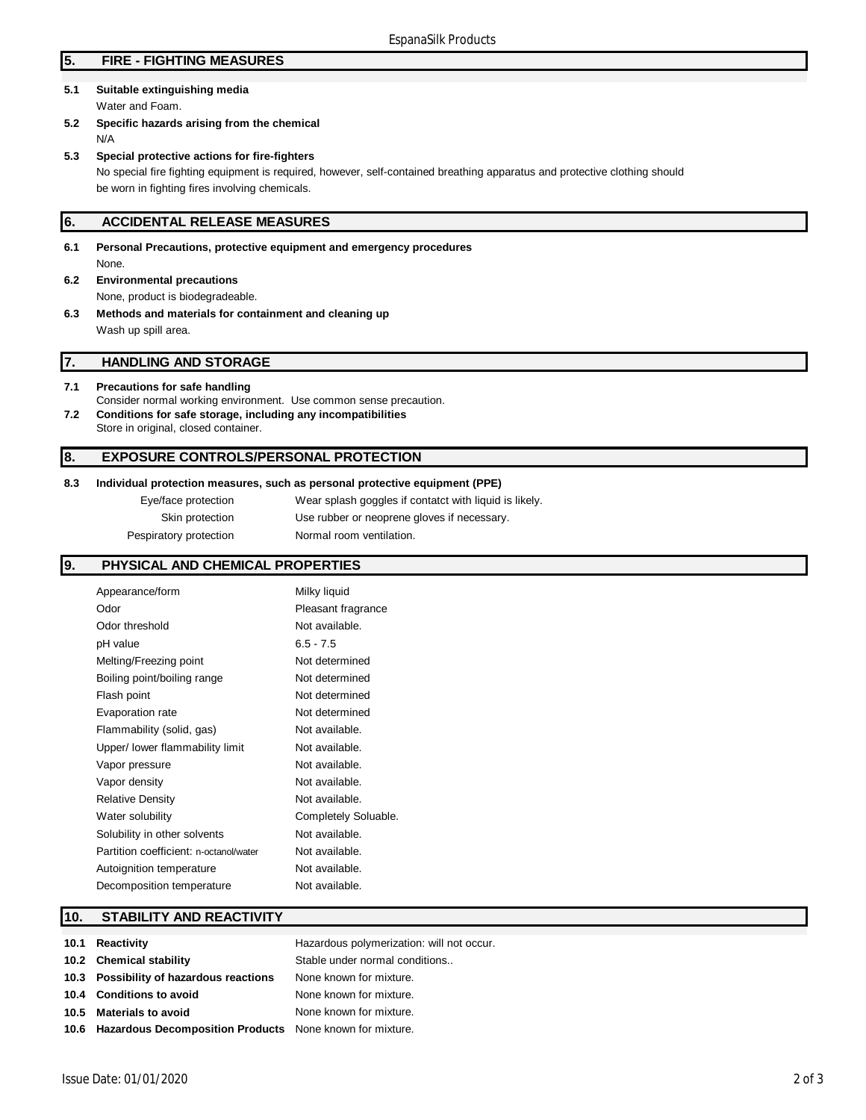# **5. FIRE - FIGHTING MEASURES**

- **5.1 Suitable extinguishing media** Water and Foam.
- **5.2 Specific hazards arising from the chemical** N/A
- **5.3 Special protective actions for fire-fighters** No special fire fighting equipment is required, however, self-contained breathing apparatus and protective clothing should be worn in fighting fires involving chemicals.

### **6. ACCIDENTAL RELEASE MEASURES**

- **6.1 Personal Precautions, protective equipment and emergency procedures** None.
- **6.2 Environmental precautions** None, product is biodegradeable.
- **6.3 Methods and materials for containment and cleaning up** Wash up spill area.

# **7. HANDLING AND STORAGE**

- **7.1 Precautions for safe handling** Consider normal working environment. Use common sense precaution. **7.2 Conditions for safe storage, including any incompatibilities**
- Store in original, closed container.

# **8. EXPOSURE CONTROLS/PERSONAL PROTECTION**

#### **8.3 Individual protection measures, such as personal protective equipment (PPE)**

| Eye/face protection    | Wear splash goggles if contatct with liquid is likely. |
|------------------------|--------------------------------------------------------|
| Skin protection        | Use rubber or neoprene gloves if necessary.            |
| Pespiratory protection | Normal room ventilation.                               |

# **9. PHYSICAL AND CHEMICAL PROPERTIES**

| Appearance/form                        | Milky liquid         |
|----------------------------------------|----------------------|
| Odor                                   | Pleasant fragrance   |
| Odor threshold                         | Not available.       |
| pH value                               | $6.5 - 7.5$          |
| Melting/Freezing point                 | Not determined       |
| Boiling point/boiling range            | Not determined       |
| Flash point                            | Not determined       |
| Evaporation rate                       | Not determined       |
| Flammability (solid, gas)              | Not available.       |
| Upper/ lower flammability limit        | Not available.       |
| Vapor pressure                         | Not available.       |
| Vapor density                          | Not available.       |
| <b>Relative Density</b>                | Not available.       |
| Water solubility                       | Completely Soluable. |
| Solubility in other solvents           | Not available.       |
| Partition coefficient: n-octanol/water | Not available.       |
| Autoignition temperature               | Not available.       |
| Decomposition temperature              | Not available.       |

# **10. STABILITY AND REACTIVITY**

| 10.1 Reactivity                                               | Hazardous polymerization: will not occur. |
|---------------------------------------------------------------|-------------------------------------------|
|                                                               |                                           |
| 10.2 Chemical stability                                       | Stable under normal conditions            |
| 10.3 Possibility of hazardous reactions                       | None known for mixture.                   |
| 10.4 Conditions to avoid                                      | None known for mixture.                   |
| 10.5 Materials to avoid                                       | None known for mixture.                   |
| 10.6 Hazardous Decomposition Products None known for mixture. |                                           |